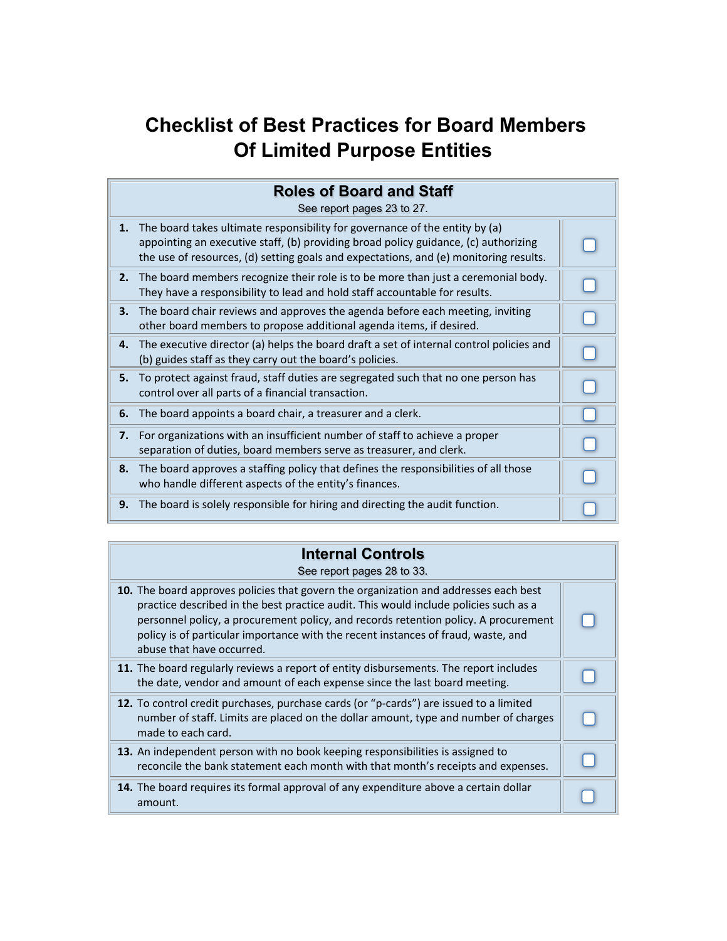## **Checklist of Best Practices for Board Members Of Limited Purpose Entities**

| <b>Roles of Board and Staff</b><br>See report pages 23 to 27. |                                                                                                                                                                                                                                                             |  |
|---------------------------------------------------------------|-------------------------------------------------------------------------------------------------------------------------------------------------------------------------------------------------------------------------------------------------------------|--|
| 1.                                                            | The board takes ultimate responsibility for governance of the entity by (a)<br>appointing an executive staff, (b) providing broad policy guidance, (c) authorizing<br>the use of resources, (d) setting goals and expectations, and (e) monitoring results. |  |
| 2.                                                            | The board members recognize their role is to be more than just a ceremonial body.<br>They have a responsibility to lead and hold staff accountable for results.                                                                                             |  |
| 3.                                                            | The board chair reviews and approves the agenda before each meeting, inviting<br>other board members to propose additional agenda items, if desired.                                                                                                        |  |
| 4.                                                            | The executive director (a) helps the board draft a set of internal control policies and<br>(b) guides staff as they carry out the board's policies.                                                                                                         |  |
| 5.                                                            | To protect against fraud, staff duties are segregated such that no one person has<br>control over all parts of a financial transaction.                                                                                                                     |  |
| 6.                                                            | The board appoints a board chair, a treasurer and a clerk.                                                                                                                                                                                                  |  |
| 7.                                                            | For organizations with an insufficient number of staff to achieve a proper<br>separation of duties, board members serve as treasurer, and clerk.                                                                                                            |  |
| 8.                                                            | The board approves a staffing policy that defines the responsibilities of all those<br>who handle different aspects of the entity's finances.                                                                                                               |  |
| 9.                                                            | The board is solely responsible for hiring and directing the audit function.                                                                                                                                                                                |  |

## **Internal Controls**

See report pages 28 to 33.

| 10. The board approves policies that govern the organization and addresses each best<br>practice described in the best practice audit. This would include policies such as a<br>personnel policy, a procurement policy, and records retention policy. A procurement<br>policy is of particular importance with the recent instances of fraud, waste, and<br>abuse that have occurred. |  |
|---------------------------------------------------------------------------------------------------------------------------------------------------------------------------------------------------------------------------------------------------------------------------------------------------------------------------------------------------------------------------------------|--|
| 11. The board regularly reviews a report of entity disbursements. The report includes<br>the date, vendor and amount of each expense since the last board meeting.                                                                                                                                                                                                                    |  |
| 12. To control credit purchases, purchase cards (or "p-cards") are issued to a limited<br>number of staff. Limits are placed on the dollar amount, type and number of charges<br>made to each card.                                                                                                                                                                                   |  |
| 13. An independent person with no book keeping responsibilities is assigned to<br>reconcile the bank statement each month with that month's receipts and expenses.                                                                                                                                                                                                                    |  |
| 14. The board requires its formal approval of any expenditure above a certain dollar<br>amount.                                                                                                                                                                                                                                                                                       |  |